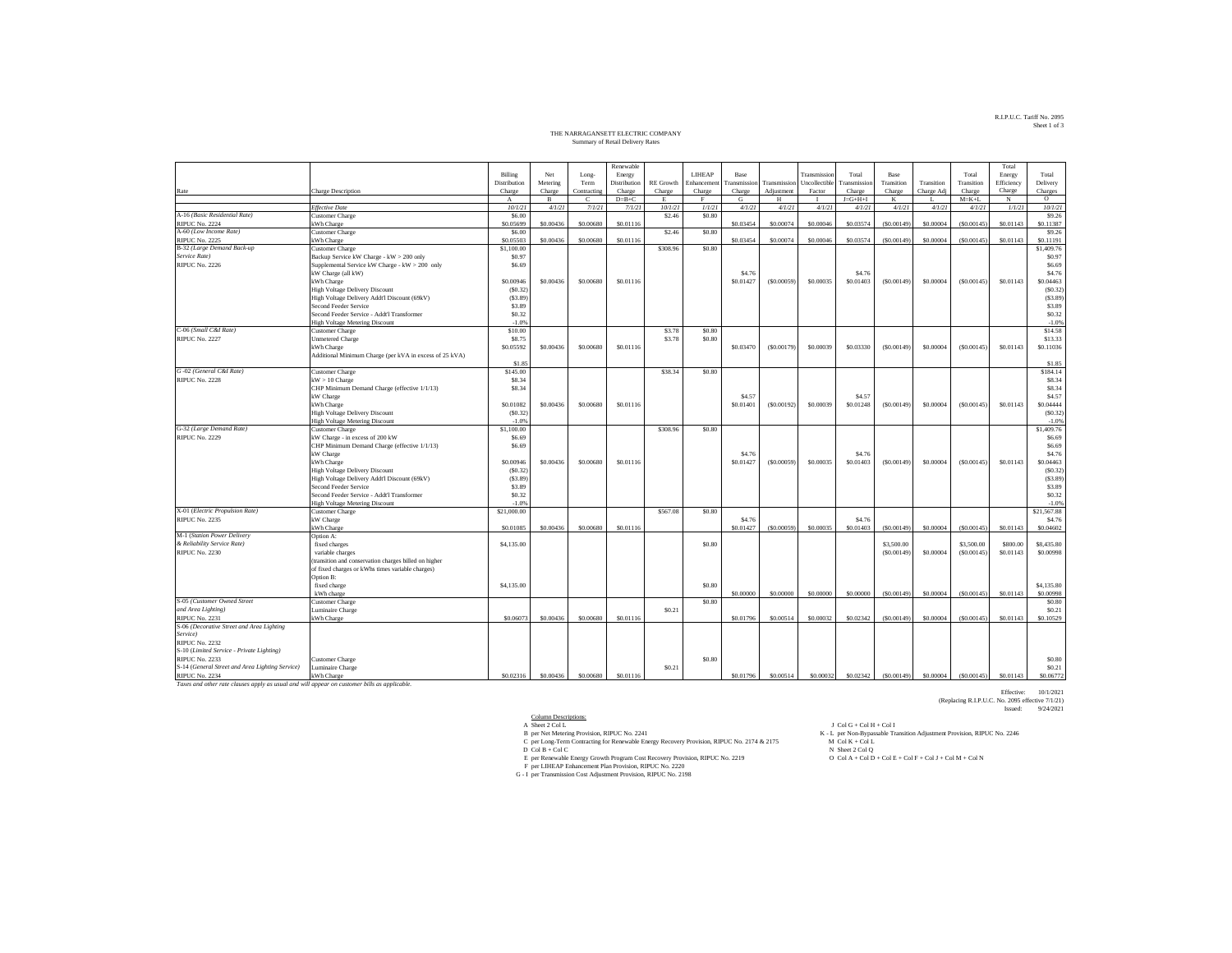# R.I.P.U.C. Tariff No. 2095 Sheet 1 of 3

## THE NARRAGANSETT ELECTRIC COMPANY Summary of Retail Delivery Rates

|                                                                                              |                                                           |              |              |             | Renewable    |                   |              |                   |              |               |                 |             |            |             | Total      |                   |
|----------------------------------------------------------------------------------------------|-----------------------------------------------------------|--------------|--------------|-------------|--------------|-------------------|--------------|-------------------|--------------|---------------|-----------------|-------------|------------|-------------|------------|-------------------|
|                                                                                              |                                                           | Billing      | Net          | Long-       | Energy       |                   | LIHEAP       | Base              |              | Transmissio   | Total           | <b>Base</b> |            | Total       | Energy     | Total             |
|                                                                                              |                                                           | Distribution | Metering     | Term        | Distribution | <b>RE</b> Growth  | Enhancemen   | ransmission       | Transmission | Uncollectible | Transmission    | Transition  | Transition | Transition  | Efficiency | Delivery          |
| Rate                                                                                         | Charge Description                                        | Charge       | Charge       | Contracting | Charge       | Charge            | Charge       | Charge            | Adjustment   | Factor        | Charge          | Charge      | Charge Adj | Charge      | Charge     | Charges           |
|                                                                                              |                                                           | $_{\rm A}$   | $\mathbf{B}$ | Ċ           | $D=B+C$      | E                 | $\mathbf{F}$ | G                 | H            |               | $J = G + H + I$ | K           |            | $M = K + L$ | $_{\rm N}$ | $\circ$           |
|                                                                                              | <b>Effective Date</b>                                     | 10/1/21      | 4/1/21       | 7/1/21      | 7/1/21       | 10/1/21           | 1/1/21       | 4/1/21            | 4/1/21       | 4/1/21        | 4/1/21          | 4/1/21      | 4/1/21     | 4/1/21      | 1/1/21     | 10/1/21           |
| A-16 (Basic Residential Rate)                                                                | <b>Customer Charge</b>                                    | \$6.00       |              |             |              | \$2.46            | \$0.80       |                   |              |               |                 |             |            |             |            | \$9.26            |
| <b>RIPUC No. 2224</b>                                                                        | kWh Charge                                                | \$0.05699    | \$0,00436    | \$0,00680   | \$0,01116    |                   |              | \$0.03454         | \$0,00074    | \$0.00046     | \$0,03574       | (S0.00149)  | \$0,00004  | (S0,00145)  | \$0.01143  | \$0.11387         |
| A-60 (Low Income Rate)                                                                       | <b>Customer Charge</b>                                    | \$6.00       |              |             |              | \$2.46            | \$0.80       |                   |              |               |                 |             |            |             |            | \$9.26            |
| <b>RIPUC No. 2225</b>                                                                        | kWh Charge                                                | \$0.05503    | \$0,00436    | \$0,00680   | S0.01116     |                   |              | \$0.03454         | \$0,00074    | \$0,00046     | \$0,03574       | (S0.00149)  | \$0,00004  | (S0,00145)  | \$0.01143  | \$0.11191         |
| B-32 (Large Demand Back-up                                                                   | <b>Customer Charge</b>                                    | \$1,100.00   |              |             |              | \$308.96          | \$0.80       |                   |              |               |                 |             |            |             |            | \$1,409.76        |
| Service Rate)                                                                                | Backup Service kW Charge - kW > 200 only                  | \$0.97       |              |             |              |                   |              |                   |              |               |                 |             |            |             |            | S <sub>0.97</sub> |
| RIPUC No. 2226                                                                               | Supplemental Service kW Charge - kW > 200 only            | \$6.69       |              |             |              |                   |              |                   |              |               |                 |             |            |             |            | \$6.69            |
|                                                                                              | kW Charge (all kW)                                        |              |              |             |              |                   |              | \$4.76            |              |               | \$4.76          |             |            |             |            | \$4.76            |
|                                                                                              | kWh Charge                                                | \$0.00946    | \$0.00436    | \$0,00680   | \$0.01116    |                   |              | \$0.01427         | (S0.00059)   | \$0,00035     | \$0,01403       | (S0.00149)  | \$0.00004  | (S0.00145)  | \$0.01143  | \$0.04463         |
|                                                                                              | High Voltage Delivery Discount                            | (S0.32)      |              |             |              |                   |              |                   |              |               |                 |             |            |             |            | (S0.32)           |
|                                                                                              | High Voltage Delivery Addt'l Discount (69kV)              | (S3.89)      |              |             |              |                   |              |                   |              |               |                 |             |            |             |            | (S3.89)           |
|                                                                                              | Second Feeder Service                                     | \$3.89       |              |             |              |                   |              |                   |              |               |                 |             |            |             |            | \$3.89            |
|                                                                                              | Second Feeder Service - Addt'l Transformer                | \$0.32       |              |             |              |                   |              |                   |              |               |                 |             |            |             |            | \$0.32            |
|                                                                                              | <b>High Voltage Metering Discount</b>                     | $-1.0%$      |              |             |              |                   |              |                   |              |               |                 |             |            |             |            | $-1.0%$           |
| C-06 (Small C&I Rate)                                                                        | <b>Customer Charge</b>                                    | \$10.00      |              |             |              | \$3.78            | \$0.80       |                   |              |               |                 |             |            |             |            | \$14.58           |
| <b>RIPUC No. 2227</b>                                                                        | <b>Unmetered Charge</b>                                   | \$8.75       |              |             |              | \$3.78            | \$0.80       |                   |              |               |                 |             |            |             |            | \$13.33           |
|                                                                                              | kWh Charge                                                | \$0.05592    | \$0,00436    | \$0,00680   | S0.01116     |                   |              | \$0.03470         | (S0.00179)   | \$0,00039     | \$0,03330       | (S0,00149)  | \$0,00004  | (S0,00145)  | \$0.01143  | \$0.11036         |
|                                                                                              | Additional Minimum Charge (per kVA in excess of 25 kVA)   |              |              |             |              |                   |              |                   |              |               |                 |             |            |             |            |                   |
|                                                                                              |                                                           | \$1.85       |              |             |              |                   |              |                   |              |               |                 |             |            |             |            | \$1.85            |
| G-02 (General C&I Rate)                                                                      | <b>Customer Charge</b>                                    | \$145.00     |              |             |              | \$38.34           | \$0.80       |                   |              |               |                 |             |            |             |            | \$184.14          |
| RIPUC No. 2228                                                                               | $kW > 10$ Charge                                          | \$8.34       |              |             |              |                   |              |                   |              |               |                 |             |            |             |            | \$8.34            |
|                                                                                              | CHP Minimum Demand Charge (effective 1/1/13)<br>kW Charge | \$8.34       |              |             |              |                   |              | \$4.57            |              |               | \$4.57          |             |            |             |            | \$8.34<br>\$4.57  |
|                                                                                              | kWh Charge                                                | \$0.01082    | \$0.00436    | \$0,00680   | \$0.01116    |                   |              | \$0.01401         | (S0.00192)   | \$0.00039     | \$0.01248       | (S0.00149)  | \$0.00004  | (S0.00145)  | \$0.01143  | \$0.04444         |
|                                                                                              | <b>High Voltage Delivery Discount</b>                     | (S0.32)      |              |             |              |                   |              |                   |              |               |                 |             |            |             |            | (S0.32)           |
|                                                                                              | <b>High Voltage Metering Discount</b>                     | $-1.09$      |              |             |              |                   |              |                   |              |               |                 |             |            |             |            | $-1.0%$           |
| G-32 (Large Demand Rate)                                                                     | <b>Customer Charge</b>                                    | \$1,100.00   |              |             |              | \$308.96          | \$0.80       |                   |              |               |                 |             |            |             |            | \$1,409.76        |
| RIPUC No. 2229                                                                               | kW Charge - in excess of 200 kW                           | \$6.69       |              |             |              |                   |              |                   |              |               |                 |             |            |             |            | \$6.69            |
|                                                                                              | CHP Minimum Demand Charge (effective 1/1/13)              | \$6.69       |              |             |              |                   |              |                   |              |               |                 |             |            |             |            | \$6.69            |
|                                                                                              | kW Charge                                                 |              |              |             |              |                   |              | \$4.76            |              |               | S4.76           |             |            |             |            | \$4.76            |
|                                                                                              | kWh Charge                                                | \$0.00946    | \$0.00436    | \$0,00680   | \$0.01116    |                   |              | \$0.01427         | (S0.00059)   | \$0.00035     | \$0.01403       | (S0.00149)  | \$0.00004  | (S0.00145)  | \$0.01143  | \$0.04463         |
|                                                                                              | <b>High Voltage Delivery Discount</b>                     | (S0.32)      |              |             |              |                   |              |                   |              |               |                 |             |            |             |            | (S0.32)           |
|                                                                                              | High Voltage Delivery Addt'l Discount (69kV)              | (S3.89)      |              |             |              |                   |              |                   |              |               |                 |             |            |             |            | (S3.89)           |
|                                                                                              | Second Feeder Service                                     | \$3.89       |              |             |              |                   |              |                   |              |               |                 |             |            |             |            | \$3.89            |
|                                                                                              | Second Feeder Service - Addt'l Transformer                | \$0.32       |              |             |              |                   |              |                   |              |               |                 |             |            |             |            | \$0.32            |
|                                                                                              | <b>High Voltage Metering Discount</b>                     | $-1.09$      |              |             |              |                   |              |                   |              |               |                 |             |            |             |            | $-1.0%$           |
| X-01 (Electric Propulsion Rate)                                                              | Customer Charge                                           | \$21,000.00  |              |             |              | \$567.08          | \$0.80       |                   |              |               |                 |             |            |             |            | \$21,567.88       |
| <b>RIPUC No. 2235</b>                                                                        | kW Charge                                                 |              |              |             |              |                   |              | S <sub>4.76</sub> |              |               | S4.76           |             |            |             |            | \$4.76            |
|                                                                                              | kWh Charge                                                | \$0,01085    | \$0,00436    | \$0,00680   | \$0.01116    |                   |              | \$0.01427         | (\$0,00059   | \$0.00035     | \$0,01403       | (S0.00149)  | \$0,00004  | (S0,00145)  | \$0.01143  | \$0,04602         |
| M-1 (Station Power Delivery                                                                  | Option A:                                                 |              |              |             |              |                   |              |                   |              |               |                 |             |            |             |            |                   |
| & Reliability Service Rate)                                                                  | fixed charges                                             | \$4,135.00   |              |             |              |                   | \$0.80       |                   |              |               |                 | \$3,500.00  |            | \$3,500.00  | \$800.00   | \$8,435.80        |
| <b>RIPUC No. 2230</b>                                                                        | variable charges                                          |              |              |             |              |                   |              |                   |              |               |                 | (S0.00149)  | \$0.00004  | (S0.00145)  | \$0.01143  | \$0.00998         |
|                                                                                              | (transition and conservation charges billed on higher     |              |              |             |              |                   |              |                   |              |               |                 |             |            |             |            |                   |
|                                                                                              | of fixed charges or kWhs times variable charges)          |              |              |             |              |                   |              |                   |              |               |                 |             |            |             |            |                   |
|                                                                                              | Option B:                                                 | \$4,135.00   |              |             |              |                   | \$0.80       |                   |              |               |                 |             |            |             |            | \$4,135.80        |
|                                                                                              | fixed charge<br>kWh charge                                |              |              |             |              |                   |              | \$0,00000         | \$0,00000    | \$0,00000     | \$0,00000       | (S0.00149)  | \$0,00004  | (S0.00145)  | \$0.01143  | \$0.00998         |
| S-05 (Customer Owned Street                                                                  | <b>Customer Charge</b>                                    |              |              |             |              |                   | \$0.80       |                   |              |               |                 |             |            |             |            | S <sub>0.80</sub> |
| and Area Lighting)                                                                           | Luminaire Charge                                          |              |              |             |              | \$0.21            |              |                   |              |               |                 |             |            |             |            | \$0.21            |
| <b>RIPUC No. 2231</b>                                                                        | kWh Charge                                                | \$0,06073    | \$0,00436    | \$0,00680   | \$0,01116    |                   |              | \$0.01796         | \$0,00514    | \$0,00032     | \$0.02342       | (S0.00149)  | \$0,00004  | (S0,00145)  | \$0.01143  | \$0.10529         |
| S-06 (Decorative Street and Area Lighting                                                    |                                                           |              |              |             |              |                   |              |                   |              |               |                 |             |            |             |            |                   |
| Service)                                                                                     |                                                           |              |              |             |              |                   |              |                   |              |               |                 |             |            |             |            |                   |
| <b>RIPUC No. 2232</b>                                                                        |                                                           |              |              |             |              |                   |              |                   |              |               |                 |             |            |             |            |                   |
| S-10 (Limited Service - Private Lighting)                                                    |                                                           |              |              |             |              |                   |              |                   |              |               |                 |             |            |             |            |                   |
| <b>RIPUC No. 2233</b>                                                                        | Customer Charge                                           |              |              |             |              |                   | \$0.80       |                   |              |               |                 |             |            |             |            | S <sub>0.80</sub> |
| S-14 (General Street and Area Lighting Service)                                              | Luminaire Charge                                          |              |              |             |              | S <sub>0.21</sub> |              |                   |              |               |                 |             |            |             |            | \$0.21            |
| <b>RIPUC No. 2234</b>                                                                        | kWh Charge                                                | \$0.02316    | \$0,00436    | \$0,00680   | \$0,01116    |                   |              | \$0.01796         | \$0,00514    | \$0,00032     | \$0.02342       | (S0.00149)  | \$0,00004  | (50,00145)  | \$0.01143  | \$0.06772         |
| Taxes and other rate clauses apply as usual and will appear on customer bills as applicable. |                                                           |              |              |             |              |                   |              |                   |              |               |                 |             |            |             |            |                   |

Column Descriptions: A Sheet 2 Col L J Col G + Col H + Col I B per Net Metering Provision, RIPUC No. 2241 K - L per Non-Bypassable Transition Adjustment Provision, RIPUC No. 2246 C per Long-Term Contracting for Renewable Energy Recovery Provision, RIPUC No. 2174 & 2175 M Col K + Col L D Col B + Col C N Sheet 2 Col Q E per Renewable Energy Growth Program Cost Recovery Provision, RIPUC No. 2219 O Col A + Col D + Col E + Col F + Col J + Col M + Col N F per LIHEAP Enhancement Plan Provision, RIPUC No. 2220 G - I per Transmission Cost Adjustment Provision, RIPUC No. 2198

Effective: 10/1/2021 (Replacing R.I.P.U.C. No. 2095 effective 7/1/21) Issued: 9/24/2021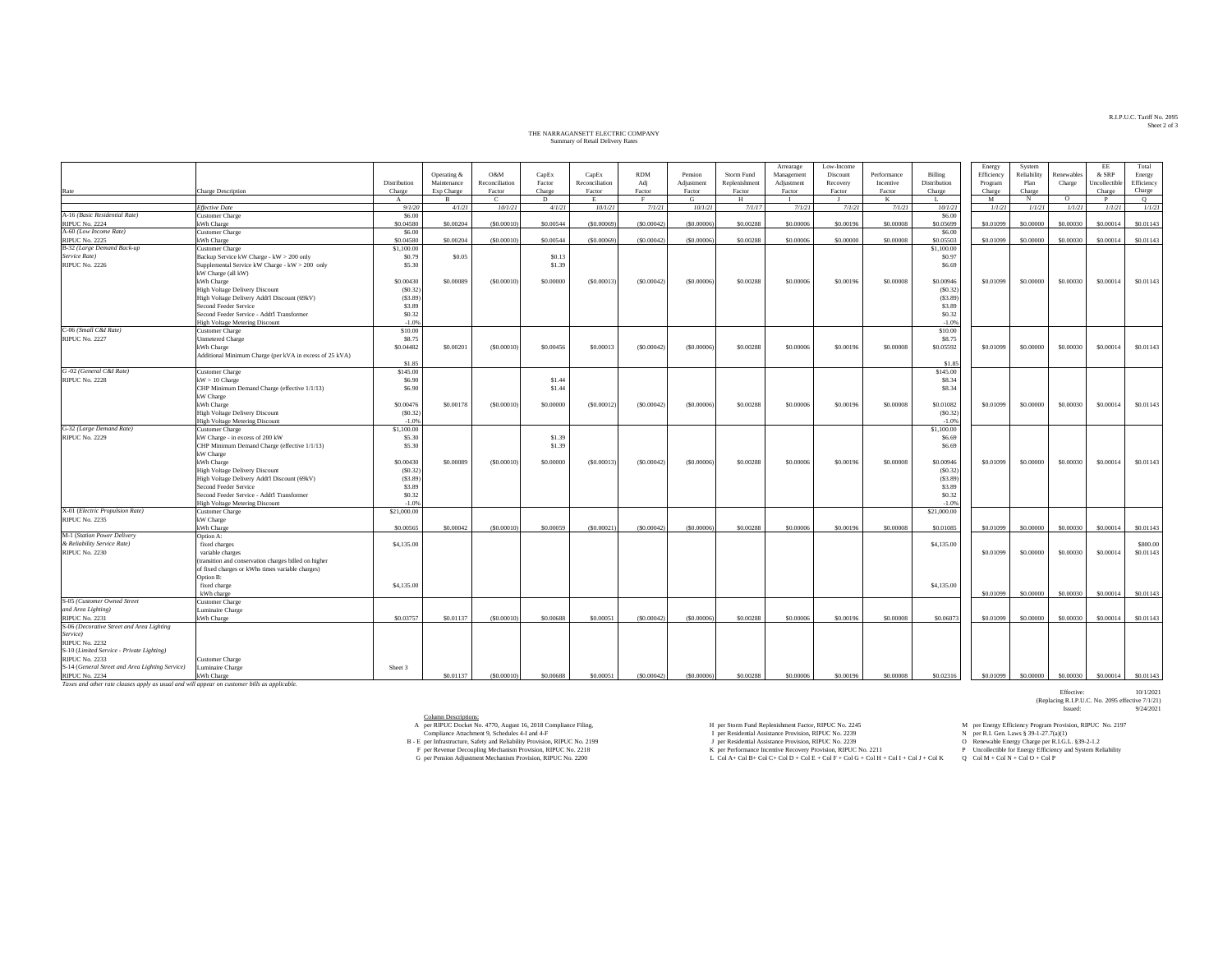### THE NARRAGANSETT ELECTRIC COMPANY THE NARRAGANSETT ELECTRIC COMPANY Summary of Retail Delivery Rates

|                                                                                             |                                                         |              |              |                |                   |                |              |              |               | Arrearage  | Low-Income |             |              | Energy     | System      |            | EE            | Total      |
|---------------------------------------------------------------------------------------------|---------------------------------------------------------|--------------|--------------|----------------|-------------------|----------------|--------------|--------------|---------------|------------|------------|-------------|--------------|------------|-------------|------------|---------------|------------|
|                                                                                             |                                                         |              | Operating &  | O&M            | CapEx             | CapEx          | <b>RDM</b>   | Pension      | Storm Fund    | Management | Discount   | Performance | Billing      | Efficiency | Reliability | Renewables | & SRP         | Energy     |
|                                                                                             |                                                         | Distribution | Maintenance  | Reconciliation | Factor            | Reconciliation | Adi          | Adjustment   | Replenishment | Adjustment | Recovery   | Incentive   | Distribution | Program    | Plan        | Charge     | Jncollectible | Efficiency |
| Rate                                                                                        | Charge Description                                      | Charge       | Exp Charge   | Factor         | Charge            | Factor         | Factor       | Factor       | Factor        | Factor     | Factor     | Factor      | Charge       | Charge     | Charge      |            | Charge        | Charge     |
|                                                                                             |                                                         | $\mathbf{A}$ | $\mathbf{R}$ | $\mathbf{C}$   | D                 | E.             | E.           | G            | H             |            |            | $_{\rm K}$  | Ι.           | M          | $_{\rm N}$  | $\circ$    | P             | $\circ$    |
|                                                                                             | <b>Effective Date</b>                                   | 9/1/20       | 4/1/21       | 10/1/21        | 4/1/21            | 10/1/21        | 7/1/21       | 10/1/21      | 7/1/17        | 7/1/21     | 7/1/21     | 7/1/21      | 10/1/21      | 1/1/21     | 1/1/21      | 1/1/21     | 1/1/21        | 1/1/21     |
| A-16 (Basic Residential Rate)                                                               | <b>Customer Charge</b>                                  | \$6.00       |              |                |                   |                |              |              |               |            |            |             | \$6.00       |            |             |            |               |            |
| <b>RIPUC No. 2224</b>                                                                       | kWh Charge                                              | \$0.04580    | \$0,00204    | (S0,00010      | \$0,00544         | (\$0,00069     | (S0.00042)   | (\$0,00006)  | \$0.00288     | \$0,00006  | \$0,00196  | \$0,00008   | \$0.05699    | \$0.01099  | \$0,00000   | \$0,00030  | \$0,00014     | \$0.01143  |
| A-60 (Low Income Rate)                                                                      | <b>Customer Charge</b>                                  | \$6,00       |              |                |                   |                |              |              |               |            |            |             | \$6.00       |            |             |            |               |            |
| <b>RIPUC No. 2225</b>                                                                       | kWh Charge                                              | \$0.04580    | \$0,00204    | (S0,00010      | \$0,00544         | ( \$0,00069)   | (S0.00042)   | (50,00006)   | \$0.00288     | \$0,00006  | \$0,00000  | \$0,00008   | \$0,05503    | \$0,01099  | \$0,00000   | \$0,00030  | \$0,00014     | \$0,01143  |
| B-32 (Large Demand Back-up                                                                  | <b>Customer Charge</b>                                  | \$1,100.00   |              |                |                   |                |              |              |               |            |            |             | \$1,100.00   |            |             |            |               |            |
| Service Rate)                                                                               | Backup Service kW Charge - kW > 200 only                | \$0.79       | \$0.05       |                | S <sub>0.13</sub> |                |              |              |               |            |            |             | \$0.97       |            |             |            |               |            |
| RIPUC No. 2226                                                                              | Supplemental Service kW Charge - kW > 200 only          | \$5.30       |              |                | \$1.39            |                |              |              |               |            |            |             | \$6.69       |            |             |            |               |            |
|                                                                                             | kW Charge (all kW)                                      |              |              |                |                   |                |              |              |               |            |            |             |              |            |             |            |               |            |
|                                                                                             | kWh Charge                                              | \$0.00430    | \$0,00089    | (S0.00010)     | \$0.00000         | (S0.0001)      | (S0.00042)   | (S0.00006)   | \$0.00288     | \$0.00006  | \$0.00196  | \$0,00008   | \$0.00946    | \$0.01099  | \$0.00000   | \$0.00030  | \$0.00014     | \$0.01143  |
|                                                                                             | <b>High Voltage Delivery Discount</b>                   | (S0.32)      |              |                |                   |                |              |              |               |            |            |             | (S0.32)      |            |             |            |               |            |
|                                                                                             | High Voltage Delivery Addt'l Discount (69kV)            | (S3.89)      |              |                |                   |                |              |              |               |            |            |             | (S3.89)      |            |             |            |               |            |
|                                                                                             | Second Feeder Service                                   | \$3.89       |              |                |                   |                |              |              |               |            |            |             | \$3.89       |            |             |            |               |            |
|                                                                                             | Second Feeder Service - Addt'l Transformer              | \$0.32       |              |                |                   |                |              |              |               |            |            |             | \$0.32       |            |             |            |               |            |
|                                                                                             | <b>High Voltage Metering Discount</b>                   | $-1.0%$      |              |                |                   |                |              |              |               |            |            |             | $-1.0%$      |            |             |            |               |            |
| C-06 (Small C&I Rate)                                                                       | <b>Customer Charge</b>                                  | \$10.00      |              |                |                   |                |              |              |               |            |            |             | \$10.00      |            |             |            |               |            |
| <b>RIPUC No. 2227</b>                                                                       | <b>Unmetered Charge</b>                                 | \$8.75       |              |                |                   |                |              |              |               |            |            |             | \$8.75       |            |             |            |               |            |
|                                                                                             | kWh Charge                                              | \$0.04482    | \$0,00201    | (S0,00010)     | \$0,00456         | \$0,00013      | (S0.00042)   | (50,00006)   | \$0,00288     | \$0,00006  | \$0,00196  | \$0,00008   | \$0.05592    | \$0.01099  | \$0,00000   | \$0,00030  | \$0,00014     | \$0,01143  |
|                                                                                             | Additional Minimum Charge (per kVA in excess of 25 kVA) |              |              |                |                   |                |              |              |               |            |            |             |              |            |             |            |               |            |
|                                                                                             |                                                         | \$1.85       |              |                |                   |                |              |              |               |            |            |             | \$1.85       |            |             |            |               |            |
| G-02 (General C&I Rate)                                                                     | Customer Charge                                         | \$145.00     |              |                |                   |                |              |              |               |            |            |             | \$145.00     |            |             |            |               |            |
| RIPUC No. 2228                                                                              | $kW > 10$ Charge                                        | \$6.90       |              |                | \$1.44            |                |              |              |               |            |            |             | \$8.34       |            |             |            |               |            |
|                                                                                             | CHP Minimum Demand Charge (effective 1/1/13)            | \$6.90       |              |                | \$1.44            |                |              |              |               |            |            |             | \$8.34       |            |             |            |               |            |
|                                                                                             | kW Charge                                               |              |              |                |                   |                |              |              |               |            |            |             |              |            |             |            |               |            |
|                                                                                             | kWh Charge                                              | \$0.00476    | \$0.00178    | (S0.00010)     | \$0.00000         | (50.00012)     | ( \$0.00042] | (50.00006)   | \$0.00288     | \$0.00006  | \$0.00196  | \$0.00008   | \$0.01082    | \$0.01099  | \$0.00000   | \$0.00030  | \$0.00014     | \$0.01143  |
|                                                                                             | <b>High Voltage Delivery Discount</b>                   | (S0.32)      |              |                |                   |                |              |              |               |            |            |             | (S0.32)      |            |             |            |               |            |
|                                                                                             | <b>High Voltage Metering Discount</b>                   | $-1.0%$      |              |                |                   |                |              |              |               |            |            |             | $-1.0%$      |            |             |            |               |            |
| G-32 (Large Demand Rate)                                                                    | <b>Customer Charge</b>                                  | \$1,100.00   |              |                |                   |                |              |              |               |            |            |             | \$1,100.00   |            |             |            |               |            |
| <b>RIPUC No. 2229</b>                                                                       | kW Charge - in excess of 200 kW                         | \$5.30       |              |                | \$1.39            |                |              |              |               |            |            |             | \$6.69       |            |             |            |               |            |
|                                                                                             | CHP Minimum Demand Charge (effective 1/1/13)            | \$5.30       |              |                | \$1.39            |                |              |              |               |            |            |             | \$6.69       |            |             |            |               |            |
|                                                                                             | kW Charge<br>kWh Charge                                 | \$0.00430    | \$0.00089    | (S0.00010)     | \$0.00000         | (50.00013)     | (S0.00042)   | ( \$0.00006) | \$0.00288     | \$0.00006  | \$0,00196  | \$0.00008   | \$0.00946    | \$0.01099  | \$0.00000   | \$0.00030  | \$0.00014     | \$0.01143  |
|                                                                                             | <b>High Voltage Delivery Discount</b>                   | (S0.32)      |              |                |                   |                |              |              |               |            |            |             | (S0.32)      |            |             |            |               |            |
|                                                                                             | High Voltage Delivery Addt'l Discount (69kV)            | (S3.89)      |              |                |                   |                |              |              |               |            |            |             | (S3.89)      |            |             |            |               |            |
|                                                                                             | Second Feeder Service                                   | \$3.89       |              |                |                   |                |              |              |               |            |            |             | \$3.89       |            |             |            |               |            |
|                                                                                             | Second Feeder Service - Addt'l Transformer              | \$0.32       |              |                |                   |                |              |              |               |            |            |             | \$0.32       |            |             |            |               |            |
|                                                                                             | <b>High Voltage Metering Discount</b>                   | $-1.0%$      |              |                |                   |                |              |              |               |            |            |             | $-1.0%$      |            |             |            |               |            |
| X-01 (Electric Propulsion Rate)                                                             | <b>Customer Charge</b>                                  | \$21,000.00  |              |                |                   |                |              |              |               |            |            |             | \$21,000.00  |            |             |            |               |            |
| <b>RIPUC No. 2235</b>                                                                       | kW Charge                                               |              |              |                |                   |                |              |              |               |            |            |             |              |            |             |            |               |            |
|                                                                                             | kWh Charge                                              | \$0,00565    | \$0,00042    | (S0,00010      | \$0,00059         | (S0,0002)      | (\$0,00042)  | (S0,00006)   | \$0.00288     | \$0,00006  | \$0,00196  | \$0,00008   | \$0,01085    | \$0,01099  | \$0,00000   | \$0,00030  | \$0,00014     | \$0,01143  |
| M-1 (Station Power Delivery                                                                 | Option A:                                               |              |              |                |                   |                |              |              |               |            |            |             |              |            |             |            |               |            |
| & Reliability Service Rate)                                                                 | fixed charges                                           | \$4,135.00   |              |                |                   |                |              |              |               |            |            |             | \$4,135.00   |            |             |            |               | \$800.00   |
| <b>RIPUC No. 2230</b>                                                                       | variable charges                                        |              |              |                |                   |                |              |              |               |            |            |             |              | \$0.01099  | \$0.00000   | \$0.00030  | \$0.00014     | \$0.01143  |
|                                                                                             | (transition and conservation charges billed on higher   |              |              |                |                   |                |              |              |               |            |            |             |              |            |             |            |               |            |
|                                                                                             | of fixed charges or kWhs times variable charges)        |              |              |                |                   |                |              |              |               |            |            |             |              |            |             |            |               |            |
|                                                                                             | Option B:                                               |              |              |                |                   |                |              |              |               |            |            |             |              |            |             |            |               |            |
|                                                                                             | fixed charge                                            | \$4,135.00   |              |                |                   |                |              |              |               |            |            |             | \$4,135.00   |            |             |            |               |            |
|                                                                                             | kWh charge                                              |              |              |                |                   |                |              |              |               |            |            |             |              | \$0.01099  | \$0,00000   | \$0,00030  | \$0,00014     | \$0.01143  |
| S-05 (Customer Owned Street                                                                 | <b>Customer Charge</b>                                  |              |              |                |                   |                |              |              |               |            |            |             |              |            |             |            |               |            |
| and Area Lighting)                                                                          | Luminaire Charge                                        |              |              |                |                   |                |              |              |               |            |            |             |              |            |             |            |               |            |
| <b>RIPUC No. 2231</b>                                                                       | kWh Charge                                              | \$0.03757    | \$0.01137    | (\$0,00010)    | \$0.00688         | \$0,00051      | (S0.00042)   | (50,00006)   | \$0.00288     | \$0,00006  | \$0,00196  | \$0,00008   | \$0,06073    | \$0.01099  | \$0,00000   | \$0,00030  | \$0,00014     | \$0.01143  |
| S-06 (Decorative Street and Area Lighting                                                   |                                                         |              |              |                |                   |                |              |              |               |            |            |             |              |            |             |            |               |            |
| Service)                                                                                    |                                                         |              |              |                |                   |                |              |              |               |            |            |             |              |            |             |            |               |            |
| <b>RIPUC No. 2232</b>                                                                       |                                                         |              |              |                |                   |                |              |              |               |            |            |             |              |            |             |            |               |            |
| S-10 (Limited Service - Private Lighting)                                                   |                                                         |              |              |                |                   |                |              |              |               |            |            |             |              |            |             |            |               |            |
| <b>RIPUC No. 2233</b>                                                                       | Customer Charge                                         |              |              |                |                   |                |              |              |               |            |            |             |              |            |             |            |               |            |
| S-14 (General Street and Area Lighting Service)                                             | Luminaire Charge                                        | Sheet 3      |              |                |                   |                |              |              |               |            |            |             |              |            |             |            |               |            |
| <b>RIPUC No. 2234</b>                                                                       | kWh Charge                                              |              | \$0.01137    | (S0,00010)     | \$0,00688         | \$0,00051      | (S0.00042)   | (50,00006)   | \$0,00288     | \$0,00006  | \$0,00196  | \$0,00008   | \$0,02316    | \$0,01099  | \$0,00000   | \$0,00030  | \$0,00014     | \$0,01143  |
| Taxes and other rate clauses apply as usual and will appear on customer bills as applicable |                                                         |              |              |                |                   |                |              |              |               |            |            |             |              |            |             |            |               |            |

Column Descriptions:

per RIPUC Docket No. 4770, August 16, 2018 Compliance Filing,  $H = p$ er Storm Fund Replenishment Factor, RIPUC No. 2245 M per Energy Efficiency Program Provision, RIPUC No. 2197

Compliance Attachment 9, Schedules 4-I and 4-F

 $\begin{array}{c} \text{A} \text{ per RPUC Docke No. 2180.} \\ \text{C} \text{ for Pertreener DcoO, A.} \\ \text{D} \text{ For Pertreener DcoO, A.} \\ \text{D} \text{ For Pertreener DcoO, A.} \\ \text{D} \text{ For Pertreener DcoO, A.} \\ \text{D} \text{ For Pertreener DcoO, A.} \\ \text{E} \text{ For Pertreener DcoO, A.} \\ \text{E} \text{ For Pertreener DcoO, A.} \\ \text{E} \text{ For Pertreeor DcoO, A.} \\ \text{E} \text{ For Pertreeo DcoO, A.} \\$ 

Effective: 10/1/2021<br>(Replacing R.I.P.U.C. No. 2095 effective 7/1/21)<br>Issued: 9/24/2021

R.I.P.U.C. Tariff No. 2095 R.I.P.U.C. Tariff No. 2095 Sheet 2 of 3